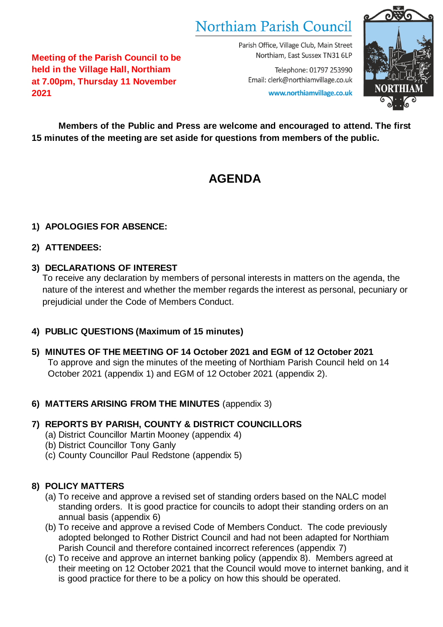# Northiam Parish Council

Parish Office, Village Club, Main Street Northiam, East Sussex TN31 6LP

Email: clerk@northiamvillage.co.uk www.northiamvillage.co.uk

Telephone: 01797 253990



**Meeting of the Parish Council to be held in the Village Hall, Northiam at 7.00pm, Thursday 11 November 2021**

**Members of the Public and Press are welcome and encouraged to attend. The first 15 minutes of the meeting are set aside for questions from members of the public.** 

## **AGENDA**

## **1) APOLOGIES FOR ABSENCE:**

## **2) ATTENDEES:**

## **3) DECLARATIONS OF INTEREST**

To receive any declaration by members of personal interests in matters on the agenda, the nature of the interest and whether the member regards the interest as personal, pecuniary or prejudicial under the Code of Members Conduct.

## **4) PUBLIC QUESTIONS (Maximum of 15 minutes)**

**5) MINUTES OF THE MEETING OF 14 October 2021 and EGM of 12 October 2021** To approve and sign the minutes of the meeting of Northiam Parish Council held on 14 October 2021 (appendix 1) and EGM of 12 October 2021 (appendix 2).

## **6) MATTERS ARISING FROM THE MINUTES** (appendix 3)

## **7) REPORTS BY PARISH, COUNTY & DISTRICT COUNCILLORS**

- (a) District Councillor Martin Mooney (appendix 4)
- (b) District Councillor Tony Ganly
- (c) County Councillor Paul Redstone (appendix 5)

## **8) POLICY MATTERS**

- (a) To receive and approve a revised set of standing orders based on the NALC model standing orders. It is good practice for councils to adopt their standing orders on an annual basis (appendix 6)
- (b) To receive and approve a revised Code of Members Conduct. The code previously adopted belonged to Rother District Council and had not been adapted for Northiam Parish Council and therefore contained incorrect references (appendix 7)
- (c) To receive and approve an internet banking policy (appendix 8). Members agreed at their meeting on 12 October 2021 that the Council would move to internet banking, and it is good practice for there to be a policy on how this should be operated.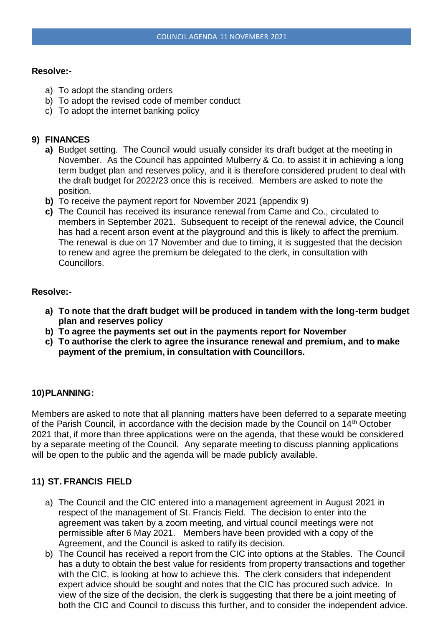#### **Resolve:-**

- a) To adopt the standing orders
- b) To adopt the revised code of member conduct
- c) To adopt the internet banking policy

#### **9) FINANCES**

- **a)** Budget setting. The Council would usually consider its draft budget at the meeting in November. As the Council has appointed Mulberry & Co. to assist it in achieving a long term budget plan and reserves policy, and it is therefore considered prudent to deal with the draft budget for 2022/23 once this is received. Members are asked to note the position.
- **b)** To receive the payment report for November 2021 (appendix 9)
- **c)** The Council has received its insurance renewal from Came and Co., circulated to members in September 2021. Subsequent to receipt of the renewal advice, the Council has had a recent arson event at the playground and this is likely to affect the premium. The renewal is due on 17 November and due to timing, it is suggested that the decision to renew and agree the premium be delegated to the clerk, in consultation with Councillors.

#### **Resolve:-**

- **a) To note that the draft budget will be produced in tandem with the long-term budget plan and reserves policy**
- **b) To agree the payments set out in the payments report for November**
- **c) To authorise the clerk to agree the insurance renewal and premium, and to make payment of the premium, in consultation with Councillors.**

#### **10)PLANNING:**

Members are asked to note that all planning matters have been deferred to a separate meeting of the Parish Council, in accordance with the decision made by the Council on 14<sup>th</sup> October 2021 that, if more than three applications were on the agenda, that these would be considered by a separate meeting of the Council. Any separate meeting to discuss planning applications will be open to the public and the agenda will be made publicly available.

#### **11) ST. FRANCIS FIELD**

- a) The Council and the CIC entered into a management agreement in August 2021 in respect of the management of St. Francis Field. The decision to enter into the agreement was taken by a zoom meeting, and virtual council meetings were not permissible after 6 May 2021. Members have been provided with a copy of the Agreement, and the Council is asked to ratify its decision.
- b) The Council has received a report from the CIC into options at the Stables. The Council has a duty to obtain the best value for residents from property transactions and together with the CIC, is looking at how to achieve this. The clerk considers that independent expert advice should be sought and notes that the CIC has procured such advice. In view of the size of the decision, the clerk is suggesting that there be a joint meeting of both the CIC and Council to discuss this further, and to consider the independent advice.